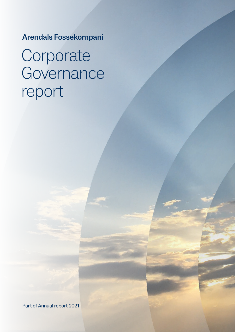Arendals Fossekompani

# Corporate Governance report

Part of Annual report 2021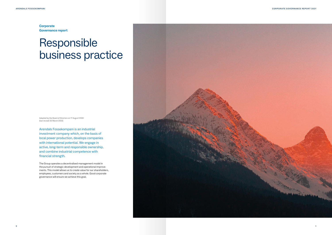Adopted by the Board of Directors on 17 August 2006 (last revised 30 March 2022)

Arendals Fossekompani is an industrial investment company which, on the basis of local power production, develops companies with international potential. We engage in active, long-term and responsible ownership, and combine industrial competence with financial strength.

The Group operates a decentralised management model in the pursuit of strategic development and operational improve ments. This model allows us to create value for our shareholders, employees, customers and society as a whole. Good corporate governance will ensure we achieve this goal.



# Responsible business practice

**Corporate Governance report**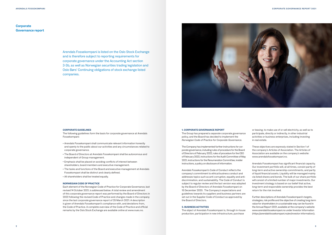Arendals Fossekompani is listed on the Oslo Stock Exchange and is therefore subject to reporting requirements for corporate governance under the Accounting Act section 3-3b, as well as Norwegian securities trading legislation and Oslo Børs' Continuing obligations of stock exchange listed companies.



#### **CORPORATE GUIDELINES**

The following guidelines form the basis for corporate governance at Arendals Fossekompani:

- Arendals Fossekompani shall communicate relevant information honestly and openly to the public about our activities and any circumstances related to corporate governance.
- The Board of Directors at Arendals Fossekompani shall be autonomous and independent of Group management.
- Emphasis shall be placed on avoiding conflicts of interest between shareholders, board members and executive management.
- The tasks and functions of the Board and executive management at Arendals Fossekompani shall be distinct and clearly defined.
- All shareholders shall be treated equally.

#### **NORWEGIAN CODE OF PRACTICE**

Each element of the Norwegian Code of Practice for Corporate Governance, last revised 14 October 2021, is addressed below. A total review and amendment of this corporate governance report was performed by the Board of Directors in 2022 following the revised Code of Practice and changes made in the company since the last corporate governance report of 25 March 2021. A description is given of Arendals Fossekompani's compliance with, and deviations from, the Code of Practice. A complete overview of the Code of Practice and official remarks by the Oslo Stock Exchange are available online at www.nues.no.

# **Corporate Governance report**

#### **1. CORPORATE GOVERNANCE REPORT**

The Group has prepared a separate corporate governance policy, and the Board has decided to implement the *Norwegian Code of Practice for Corporate Governance.* 

The Company has implemented further instructions for corporate governance, including rules of procedure for the Board of Directors of February 2022, rules of procedure for the CEO of February 2022, instructions for the Audit Committee of May 2021, instructions for the Renumeration Committee, insider instructions, a policy on disclosure of information.

Arendals Fossekompani's Code of Conduct reflects the company's commitment to ethical business conduct and addresses topics such as anti-corruption, equality and antidiscrimination, and sustainability. The Code of Conduct is subject to regular review and the last version was adopted by the Board of Directors of Arendals Fossekompani on 15 December 2020. The Company's expectations and guidelines towards its suppliers and business partners are set out in the Supplier Code of Conduct as approved by the Board of Directors.

#### **2. BUSINESS ACTIVITIES**

The object of Arendals Fossekompani is, through in-house production, participation in new infrastructure, purchase

or leasing, to make use of or sell electricity, as well as to participate, directly or indirectly, in other industrial activities or business enterprises, including investing in real estate.

These objectives are expressly stated in Section 1 of the company's Articles of Association. The Articles of Association are available on the company's website: www.arendalsfossekompani.no.

Arendals Fossekompani has significant financial capacity. Our investment portfolio will, at all times, consist partly of long-term and active ownership commitments, and partly of liquid financial assets. Liquidity will be managed mainly via listed shares and bonds. The bulk of our share portfolio will consist of a limited number of major investments. Our investment strategy is based on our belief that active, long-term and responsible ownership provides the best return for the risk involved.

Further descriptions of Arendals Fossekompani's targets, strategies, risk profile and the objective of creating long-term value for shareholders in a sustainable way can be found in the Annual Report 2021, available at the company's website www.arendalsfossekompani.no under Investor Information (https://arendalsfossekompani.no/en/investor-information/).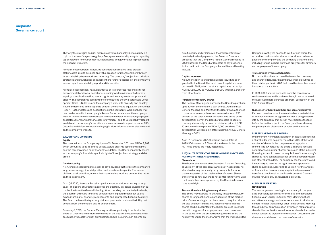The targets, strategies and risk profile are reviewed annually. Sustainability is a topic on the board's agenda regularly. Every year a materiality analysis regarding topics relevant for environmental, social issues and governance is presented to the Board of Directors.

Arendals Fossekompani integrates considerations related to its broader stakeholders into its business and value creation for its shareholders through its sustainability framework and reporting. The company's objectives, principal strategies and stakeholder engagement are further described in the company's annual report, sustainability report and its website.

Arendals Fossekompani has a clear focus on its corporate responsibility for environmental and social conditions, including work environment, diversity, equality, non-discrimination, human rights and work against corruption and bribery. The company is committed to contribute to the UN Sustainable Development Goals (UN SDGs), and the company's work with diversity and equality is further described in the separate chapter Diversity and Equality in the Annual Report. Further details and descriptions on the company's work on these matters can be found in the company's Annual Report available at the company's website www.arendalsfossekompani.no under Investor Information (https://arendalsfossekompani.no/en/investor-information/) and its Sustainability Report available at the company's website www.arendalsfossekompani.no under ESG (https://arendalsfossekompani.no/en/esg/). More information can also be found on the company's website.

#### **3. EQUITY AND DIVIDENDS**

#### **Equity**

The book value of the Group's equity as of 31 December 2021 was MNOK 3,909 which amounted to 57 % of total assets. Actual equity is significantly higher, and the company has a solid financial foundation. The Board constantly assesses the company's financial capacity in light of its objectives, strategy and risk profile.

#### **Dividend policy**

It is Arendals Fossekompani's policy to pay a dividend that reflects the company's long-term strategy, financial position and investment capacity. The annual dividend shall, over time, ensure that shareholders receive a competitive return on their investment.

As of Q2 2020, Arendals Fossekompani announces dividends on a quarterly basis. The Board of Directors approves the quarterly dividends based on an authorization from the General Meeting. When deciding the quarterly dividends, the Board of Directors takes into consideration expected cash flow, capital expenditure plans, financing requirements and appropriate financial flexibility. The Board believes that quarterly dividend payments provide a flexibility that benefits both the company and its shareholders.

From July 1, 2013, the General Meeting has the opportunity to authorize the Board of Directors to distribute dividends on the basis of the approved annual accounts. Proposals for such authorization should be justified. In order to en-

# **Corporate Governance report**

sure flexibility and efficiency in the implementation of quarterly dividend payments, the Board of Directors proposes that the Company's Annual General Meeting in 2022 authorize the Board of Directors to pay dividends, limited in time to the Company's Annual General Meeting in 2023.

#### **Capital increase**

No authorisation to undertake a share issue has been granted to the Board. The most recent capital increase occurred in 2012, when the share capital was raised by NOK 201,582,900 to NOK 223,981,000 through a transfer from other funds.

#### **Purchase of treasury shares**

The General Meeting can authorise the Board to purchase up to 10% of the company's own shares. At the annual General Meeting on 6 May 2021 the Board was authorised to purchase treasury shares up to a maximum of 7.93 percent of the total number of shares. The terms of the authorisation permit the Board of Directors to acquire treasury shares only between a minimum price of NOK 10 and a maximum price of NOK 2,000 per share. This authorization will remain in effect until the Annual General Meeting in 2022.

As of 31 December 2021, the Group owns a total of 1,099,300 shares, or 2.0% of all the shares in the company. These shares are freely negotiable.

#### **4. EQUAL TREATMENT OF SHAREHOLDERS AND TRANS-ACTIONS WITH RELATED PARTIES Share class**

The Group's shares consist exclusively of A shares. According to Section 11 of the company's Articles of Association, no shareholder may personally or by proxy vote for more than one quarter of the total number of shares. Shares transferred to new owners do not confer voting rights until the transfer has been approved by the Board. All shares have equal rights.

#### **Transactions involving treasury shares**

The Board may exercise its authority to acquire treasury shares as long as the shares are acquired at the market price. Correspondingly, the divestment of acquired shares will also be undertaken at market price yet so that the shares can be discounted if the shares are used in connection with programs for employees and board members. At the same time, the authorization gives the Board the flexibility to utilize the mechanisms that the Public Limited Companies Act gives access to in situations where the acquisition or disposal of shares is considered advantageous to the company and the company's shareholders, including for use in share purchase programs for directors and employees of the company.

#### **Transactions with related parties**

No transactions have occurred between the company and shareholders, board members, senior executives or their related parties in 2021 that could be described as not immaterial transactions.

In 2021, 2000 shares were sold from the company to senior executives and board members, in accordance with the approved share purchase program. See Note 4 of the 2021 Annual Report.

## **Guidelines for board members and senior executives**

If a board member or senior executive has a material direct or indirect interest in an agreement that is being entered into by the company, that person must disclose the fact before the matter is put to the Board, and he or she may not participate in discussions or votes on that matter.

## **5. FREELY NEGOTIABLE SHARES**

Under current Norwegian legislation on industrial licensing, a shareholder who acquires more than 20% of the total number of shares in the company must apply for a licence. The law requires the Board's approval for such acquisitions. A number of other provisions of the Industrial Licensing Act could cause the acquisition of the company's shares to have consequences for both the company itself and other shareholders. The company has therefore found it necessary to reserve the right to refuse approval of share acquisitions. According to Section 7 of the Articles of Association, therefore, any acquisition by means of transfer is conditional on the Board's consent. Consent may be refused only on reasonable grounds.

#### **6. GENERAL MEETING**

#### **Notification**

The annual general meeting is held as early in the year as is practically possible after the close of the previous financial year, usually in April or May. Meeting notices and attendance registration forms are sent to all shareholders no later than 21 days prior to the General Meeting through digital communication or through regular mail to shareholders with a known address for shareholders who do not consent to digital communication. Documents are also made available on the company's website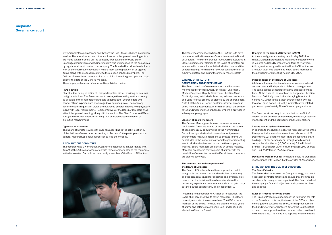www.arendalsfossekompani.no and through the Oslo Stock Exchange distribution service. The annual report and other enclosures to the general meeting notice are made available solely via the company's website and the Oslo Stock Exchange distribution service. Shareholders who wish to receive the enclosures by regular mail must contact the company. The Board will provide shareholders with all the information necessary to help them take a position on all agenda items, along with proposals relating to the election of board members. The Articles of Association permit notice of participation to be given up to two days prior to the date of the General Meeting.

The company's financial calendar will be published online.

#### **Participation**

Shareholders can give notice of their participation either in writing or via email or digital solutions. The Board wishes to arrange the meeting so that as many as possible of the shareholders are able to participate. Shareholders who cannot attend in person are encouraged to appoint a proxy. The company accommodates requests of digital attendance to general meeting held physically in line with legal requirements. Representatives of the Board of Directors shall attend the general meeting, along with the auditor. The Chief Executive Officer (CEO) and the Chief Financial Officer (CFO) shall participate on behalf of executive management.

#### **Agenda and execution**

The Board of Directors will set the agenda according to the list in Section 10 of the Articles of Association. According to Section 10, the participants of the general meeting appoint a chairperson to lead the meeting.

#### **7. NOMINATIONS COMMITTEE**

The company has a Nominations Committee established in accordance with item 11 of the Articles of Association with three members. One of the members in the Nomination Committee is currently a member of the Board of Directors.



# **Corporate Governance report**

The latest recommendation from NUES in 2021 is to have no member in the Nomination Committee from the Board of Directors. The current practice in AFK will be evaluated in 2022. Candidates for election to the Board of Directors are announced in conjunction with the invitation to attend the general meeting. Nominations for other candidates can be submitted before and during the general meeting itself.

#### **8. BOARD OF DIRECTORS: COMPOSITION AND INDEPENDENCE**

The Board consists of seven members and is currently composed of the following: Jon Hindar (Chairman), Morten Bergesen (Deputy Chairman), Christian Must, Didrik Vigsnæs, Heidi Marie Petersen, Kristine Landmark and Stine Rolstad Brenna, all elected by the shareholders. Note 4 of the Annual Report contains information about board meeting attendance. Information about the competence and independence of board members is provided in subsequent paragraphs.

#### **Election of board members**

The General Meeting elects seven representatives to the Board of Directors. Ahead of the election, the names of candidates may be submitted to the Nominations Committee by an individual shareholder or by several shareholders jointly. Nominations submitted in time will be included in the invitation to attend the general meeting sent to all shareholders and posted on the company's website. Board members are elected by simple majority. Members are elected for two years at a time, with the possibility of re-election. About half of all board members are elected each year.

## **The composition and competence of the Board of Directors**

The Board of Directors should be composed so that it safeguards the interests of the shareholder community and the company's need for expertise and diversity. This means that the individual board members have the necessary experience, competence and capacity to carry out their duties satisfactorily and independently.

According to the company's Articles of Association, the Board shall comprise five to seven members. The Board currently consists of seven members. The CEO is not a member of the Board. The Board is elected for two years at a time and selects its own chair. Jon Hindar has been elected to Chair the Board.

# **Changes to the Board of Directors in 2021**

At the annual general meeting held in May 2021 Jon Hindar, Morten Bergesen and Heidi Marie Petersen were re-elected as Board Members for a term of two years. Arild Nysæther resigned from the Board of Directors and Christian Must was elected as a new board member at the annual general meeting held in May 2021.

## **Independence of the Board of Directors**

All shareholder-elected board members are considered autonomous and independent of Group management. The same applies as regards material business connections. At the close of the year Morten Bergesen, Christian Must and Didrik Vigsnæs is the Managing Director of Vicama AS, which is the largest shareholder in Ulefoss Invest AS each owned – directly, indirectly or via related parties – approximately 26% of the company's shares.

The Board works actively to ensure that no conflict of interest exists between shareholders, the Board, executive management and the company's other stakeholders.

#### **Shares owned by board members**

In addition to the shares held by the representatives of the three principal shareholders mentioned above, as of 31 December 2021 board members had the following shareholdings – either personally or through wholly owned companies: Jon Hindar (10,000 shares), Stine Rolstad Brenna (7,500 shares), Kristine Landmark (14,800 shares) and Heidi M. Petersen (22,475 shares).

**Deviations from the Code:** The Board elects its own chair, in accordance with Section 4 of the Articles of Association.

#### **9. THE WORK OF THE BOARD OF DIRECTORS The Board's tasks**

The Board shall determine the Group's strategy, carry out necessary control functions and ensure that the Group is satisfactorily managed and organised. The Board shall set the company's financial objectives and approve its plans and budgets.

# **Rules of Procedure for the Board**

The Rules of Procedure encompass the following: the role of the Board and its tasks, the tasks of the CEO and his or her obligations towards the Board, formal procedures for the handling of matters brought before the Board, notice of board meetings and matters required to be considered by the Board etc. The Rules also stipulate when the Board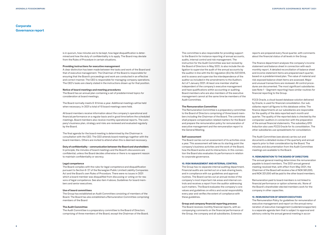is in quorum, how minutes are to be kept, how legal disqualification is determined and how the duty of confidentiality is to apply. The Board may deviate from the Rules of Procedure in certain situations.

#### **Providing instructions for executive management**

A clear distinction has been made between the tasks and work of the Board and that of executive management. The Chairman of the Board is responsible for ensuring that the Board's proceedings and work are conducted in an effective and correct manner. The CEO is responsible for managing company operations. The CEO's tasks are clearly stated in the instructions drawn up for that position.

#### **Notice of board meetings and meeting procedures**

The Board has an annual plan containing a set of predetermined topics for consideration at board meetings.

The Board normally meets 6–8 times a year. Additional meetings will be held when necessary. In 2021 a total of 10 board meetings were held.

All board members receive information about the company's operational and financial performance on a regular basis and in good time before the scheduled meetings. Board members also receive monthly operational reports. The company's business plan, strategy and risks are reviewed and evaluated regularly by the Board.

The final agenda for the board meeting is determined by the Chairman in consultation with the CEO. The CEO attends board meetings together with the board members. Others are invited to attend when this is deemed necessary.

#### **Duty of confidentiality – communication between the Board and shareholders**

In principle, the minutes of board meetings and the Board's discussions are confidential, unless the Board decides otherwise or there is no apparent reason to maintain confidentiality or secrecy.

#### **Legal competence**

The Board complies with the rules for legal competence and disqualification pursuant to Section 6–27 of the Norwegian Public Limited Liability Companies Act and the Board's own Rules of Procedure. There were no issues in 2021 which a board member was disqualified from discussing or voting on for reasons of legal competence. See also item 4 above, Guidelines for board members and senior executives.

#### **Use of board committees**

The Group has established an Audit Committee consisting of members of the Board. The Board has also established a Remuneration Committee comprising members of the Board

# **The Audit Committee**

The Audit Committee is a preparatory committee to the Board of Directors comprising of three members of the Board, except the Chairman of the Board.

# **Corporate Governance report**

The committee is also responsible for providing support to the Board in for instance reporting of annual accounts, audits, internal control and risk management. The instruction for the Audit Committee was last revised by the Board of Directors in May 2021, to also include the obligation to supervise the audit of the annual accounts by the auditor in line with the EU regulation (EU) No 537/2014, and to assess and supervise the interdependence of the auditor as included in the amendments to the Auditors Act of 1 January 2021. At least one member shall be independent of the company's executive management and have qualifications within accounting or auditing. Board members who are also members of the executive management cannot at the same time be members of the Audit Committee.

#### **The Remuneration Committee**

The Remuneration Committee is a preparatory committee to the Board of Directors comprising of three board members including the Chairman of the Board. The committee shall prepare compensation related matters for the Board and prepare the remuneration policy for remuneration of executive management and the remuneration report to the General Meeting.

#### **Self-assessment**

The Board carries out an assessment of its activities once a year. This assessment will take as its starting point the company's business activities and the work of the Board, how the Board works and its interactions. In this connection the Board also evaluates its performance in relation to corporate governance.

### **10. RISK MANAGEMENT AND INTERNAL CONTROL**

The Group has no separate internal auditing department. Financial audits are carried out on a task-sharing basis, and in compliance with our guidelines and approval routines. The Board carries out an annual review of the company's most important risk areas and internal controls and receives a report from the auditor addressing such matters. The Board evaluates the company's core values and guidelines on ethics and social responsibility every year and verifies the extent of compliance with these guidelines.

#### **Group and company financial reporting process**

The Board receives monthly financial reports, with accompanying comments on the financial performance of the Group, the company and all subsidiaries. Extensive

reports are prepared every fiscal quarter, with comments about the financial status of all levels in the Group.

The finance department analyses the company's income statement and balance sheet in connection with each monthly report. A detailed reconciliation of balance sheet and income statement items are prepared each quarter, based on a predetermined plan. The value of material and risk-exposed balance sheet items are assessed. Major and unusual transactions are reviewed. All control procedures are documented. The most significant subsidiaries (see Note 1 – Segment reporting) have similar routines for financial reporting to the Group.

FCCS Oracle, a cloud-based database solution delivered by Oracle, is used for financial consolidation. Our subsidiaries report all figures to this database online. The finance departments at our subsidiaries are responsible for the quality of the data reported each month and quarter. The quality of the reported data is checked by the companies' auditors in connection with the preparation of the annual financial statements. The subsidiary EFD Induction also uses FCCS Oracle for its consolidation. The other subsidiaries use spreadsheets for consolidation.

The Audit Committee (see above) carries out and documents a detailed review of the quarterly and annual reports prior to their consideration by the Board. The minutes and documentation from the Audit Committee meetings are available to the Board.

# **11. REMUNERATION TO THE BOARD OF DIRECTORS**

The annual general meeting determines the remuneration payable to board members. The 2021 annual general meeting resolved that, with effect from May 2021, the Chairman of the Board will receive a fee of NOK 561,000, and NOK 321,000 will be paid to the other board members.

Remuneration paid to board members is not linked to financial performance or option schemes etc. None of the Board's shareholder-elected members work for the company in other capacities.

# **12. REMUNERATION OF SENIOR EXECUTIVES**

The Remuneration Policy for guidelines for remuneration of executive management and report on the annual remuneration of executive management (Lederlønnsrapporten) is a separate agenda item that is subject to approval and advisory vote by the annual general meeting in accor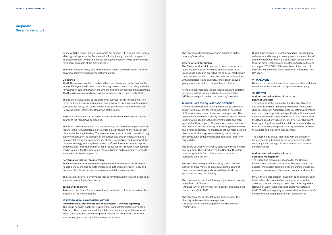dance with the Public Limited Companies Act section 6-16 a and b. The General Meeting shall approve the Remuneration Policy by any material change and at least every fourth year and annually provide an advisory vote on the annual remuneration report of the previous year.

The Remuneration Policy and Remuneration Report are available on the company's website www.arendalsfossekompani.no.

#### **Guidelines**

The CEO's employment terms and conditions are determined by the Board of Directors. Each year the Board makes a thorough assessment of the salary and other remuneration paid to the CEO in line with the guidelines in the Remuneration Policy. The Board may also award an annual performance-related bonus to the CEO.

The Board's evaluation is based on market surveys for similar positions. The terms and conditions for other senior executives and employees at the parent company are set by the CEO in line with the guidelines in the Remuneration Policy, who then informs the Chairman of the Board.

Terms and conditions for the senior executives of subsidiaries are set by the boards of the respective companies.

The Board takes the position that the company must remain competitive with regard to the remuneration paid to senior executives, but neither appear complicated nor be wage leading. The remuneration is structured to provide strong alignment between the interests of executives and shareholders, including a focus on delivering the company's key strategic objectives, and to support the business strategy and long-term interests. More information about purpose and principles for remuneration of senior executives in Arendals Fossekompani can be found in the Remuneration Policy published on the company's website www.arendalsfossekompani.no.

#### **Performance-related remuneration**

Senior executives at the parent company benefit from normal performancerelated bonus schemes as further described in the Remuneration Policy and Remuneration Report available at www.arendalsfossekompani.no.

The subsidiaries offer performance-based remuneration to varying degrees, as laid down in employees' contracts.

#### **Terms and conditions**

Terms and conditions for remuneration of the board of directors are described in Note 4 of the Annual Report.

#### **13. INFORMATION AND COMMUNICATION**

**Annual financial statements and annual report – periodic reporting** The Group normally publishes its preliminary annual financial statements in

February. The complete annual financial statements, along with the Annual Report, are published on the company's website in March/April. Otherwise, accounting figures are reported on a quarterly basis.

# **Corporate Governance report**

The company's financial calendar is published on the company's websites.

#### **Other market information**

The Group considers it important to inform owners and investors about its performance and financial status. Emphasis is placed on providing the financial market with the same information at the same time. In conversations with shareholders and analysts, care is taken to avoid giving more information to some than to others.

Arendals Fossekompani insider instructions are updated according to the European Market Abuse Regulation (MAR) and are published on the company's website.

#### **14. GUIDELINES FOR EQUALITY AND DIVERSITY**

Arendals Fossekompani has implemented guidelines for equality and diversity for the composition of its Board of Directors, board committees and management. The guidelines set forth that diversity shall be an area of priority in nominating people to the governing bodies and management of the company. The main focus area that was identified is to ensure diversity in terms of gender equality and diverse expertise. The guidelines set out more detailed objectives for the purpose of achieving these overall objectives, with both annual target dates and long-term target dates.

The Board of Directors currently consists of three women and four men. The individuals on the Board of Directors have backgrounds from different industry sectors increasing the diversity.

The executive management currently consists of one woman and five men. The individuals on the Board of Directors have backgrounds from different industry sectors increasing the diversity.

The company has set the following objectives for diversity in the Board of Directors:

• At least 40% of the members of Board of Directors shall be women within 2023.

The company has set the following objectives for the diversity in the executive management:

• At least 40% of the management shall be women within 2023.

During 2021, Arendals Fossekompani has recruited new colleagues and is happy to see a growth in the number of female employees, which is a good start for our journey towards better inclusion and greater diversity. At the end of the year 2021, 30% of the members of the board of directors were women, this is more than a doubling from last year.

# **14. TAKEOVERS**

Based on our current shareholder structure, the conditions described for takeovers do not apply to the company.

# **15. AUDITOR**

# **Auditor's formal relationship with the Board of Directors**

The auditor is at the disposal of the Board of Directors and shall attend board meetings if needed. The auditor shall participate in Audit Committee meetings and attend any board meetings that deal specifically with the annual financial statements. The auditor will at that time inform the Board about any issues or concerns he or she might have regarding the annual financial statements and other matters, including any potential disagreements between the auditor and executive management.

The Board holds annual meetings with the auditor to review reports submitted by the latter concerning the company's accounting policies, risk areas and internal control routines.

# **Auditor's formal relationship with executive management**

The Board has drawn up guidelines for the Group's business relations with the auditor. The fees paid to the auditor for statutory auditing and consulting services are presented separately in the annual financial statements.

PwC is the elected auditor. In addition to an ordinary audit, the firm has also provided consulting services within areas such as accounting, taxation and reporting to the Norwegian Water Resources and Energy Directorate (NVE). The Board regularly assesses whether the auditor's control function is being carried out satisfactorily.